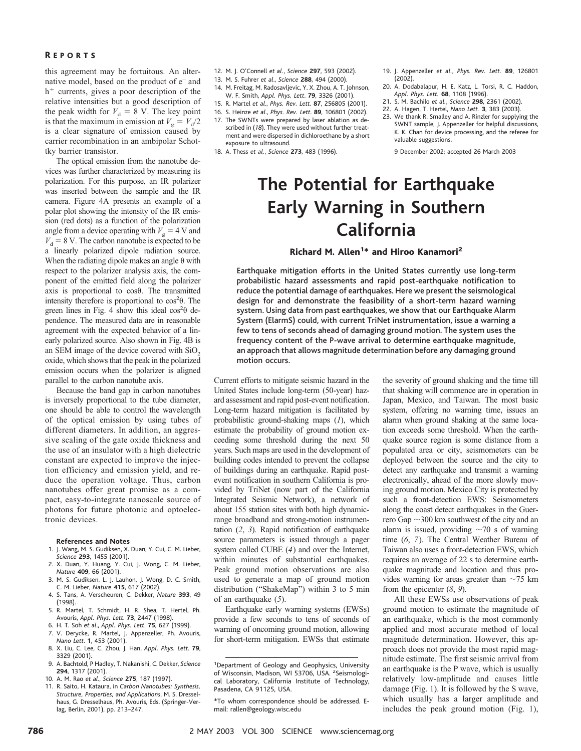this agreement may be fortuitous. An alternative model, based on the product of e– and  $h<sup>+</sup>$  currents, gives a poor description of the relative intensities but a good description of the peak width for  $V_d = 8$  V. The key point is that the maximum in emission at  $V_g = V_d/2$ is a clear signature of emission caused by carrier recombination in an ambipolar Schottky barrier transistor.

The optical emission from the nanotube devices was further characterized by measuring its polarization. For this purpose, an IR polarizer was inserted between the sample and the IR camera. Figure 4A presents an example of a polar plot showing the intensity of the IR emission (red dots) as a function of the polarization angle from a device operating with  $V<sub>g</sub> = 4$  V and  $V<sub>d</sub>$  = 8 V. The carbon nanotube is expected to be a linearly polarized dipole radiation source. When the radiating dipole makes an angle  $\theta$  with respect to the polarizer analysis axis, the component of the emitted field along the polarizer axis is proportional to  $\cos\theta$ . The transmitted intensity therefore is proportional to  $\cos^2\theta$ . The green lines in Fig. 4 show this ideal  $\cos^2\theta$  dependence. The measured data are in reasonable agreement with the expected behavior of a linearly polarized source. Also shown in Fig. 4B is an SEM image of the device covered with  $SiO<sub>2</sub>$ oxide, which shows that the peak in the polarized emission occurs when the polarizer is aligned parallel to the carbon nanotube axis.

Because the band gap in carbon nanotubes is inversely proportional to the tube diameter, one should be able to control the wavelength of the optical emission by using tubes of different diameters. In addition, an aggressive scaling of the gate oxide thickness and the use of an insulator with a high dielectric constant are expected to improve the injection efficiency and emission yield, and reduce the operation voltage. Thus, carbon nanotubes offer great promise as a compact, easy-to-integrate nanoscale source of photons for future photonic and optoelectronic devices.

#### **References and Notes**

- 1. J. Wang, M. S. Gudiksen, X. Duan, Y. Cui, C. M. Lieber, *Science* **293**, 1455 (2001).
- 2. X. Duan, Y. Huang, Y. Cui, J. Wong, C. M. Lieber, *Nature* **409**, 66 (2001).
- 3. M. S. Gudiksen, L. J. Lauhon, J. Wong, D. C. Smith, C. M. Lieber, *Nature* **415**, 617 (2002).
- 4. S. Tans, A. Verscheuren, C. Dekker, *Nature* **393**, 49 (1998).
- 5. R. Martel, T. Schmidt, H. R. Shea, T. Hertel, Ph. Avouris, *Appl. Phys. Lett*. **73**, 2447 (1998).
- 6. H. T. Soh *et al*., *Appl. Phys. Lett*. **75**, 627 (1999). 7. V. Derycke, R. Martel, J. Appenzeller, Ph. Avouris,
- *Nano Lett*. **1**, 453 (2001). 8. X. Liu, C. Lee, C. Zhou, J. Han, *Appl. Phys. Lett*. **79**, 3329 (2001).
- 9. A. Bachtold, P Hadley, T. Nakanishi, C. Dekker, *Science* **294**, 1317 (2001).
- 10. A. M. Rao *et al*., *Science* **275**, 187 (1997).
- 11. R. Saito, H. Kataura, in *Carbon Nanotubes: Synthesis, Structure, Properties, and Applications*, M. S. Dresselhaus, G. Dresselhaus, Ph. Avouris, Eds. (Springer-Verlag, Berlin, 2001), pp. 213–247.
- 12. M. J. O'Connell *et al.*, *Science* **297**, 593 (2002).
- 13. M. S. Fuhrer *et al*., *Science* **288**, 494 (2000).
- 14. M. Freitag, M. Radosavljevic, Y. X. Zhou, A. T. Johnson,
- W. F. Smith, *Appl. Phys. Lett*. **79**, 3326 (2001).
- 15. R. Martel *et al*., *Phys. Rev. Lett*. **87**, 256805 (2001).
- 16. S. Heinze *et al*., *Phys. Rev. Lett*. **89**, 106801 (2002).
- 17. The SWNTs were prepared by laser ablation as described in (*18*). They were used without further treatment and were dispersed in dichloroethane by a short exposure to ultrasound.
- 18. A. Thess *et al.*, *Science* **273**, 483 (1996).
- 19. J. Appenzeller *et al.*, *Phys. Rev. Lett.* **89**, 126801 (2002).
- 20. A. Dodabalapur, H. E. Katz, L. Torsi, R. C. Haddon, *Appl. Phys. Lett.* **68**, 1108 (1996).
- 21. S. M. Bachilo *et al.*, *Science* **298**, 2361 (2002).
- 22. A. Hagen, T. Hertel, *Nano Lett.* **3**, 383 (2003).
- 23. We thank R. Smalley and A. Rinzler for supplying the SWNT sample, J. Appenzeller for helpful discussions, K. K. Chan for device processing, and the referee for valuable suggestions.

9 December 2002; accepted 26 March 2003

# **The Potential for Earthquake Early Warning in Southern California**

## Richard M. Allen<sup>1\*</sup> and Hiroo Kanamori<sup>2</sup>

Earthquake mitigation efforts in the United States currently use long-term probabilistic hazard assessments and rapid post-earthquake notification to reduce the potential damage of earthquakes. Here we present the seismological design for and demonstrate the feasibility of a short-term hazard warning system. Using data from past earthquakes, we show that our Earthquake Alarm System (ElarmS) could, with current TriNet instrumentation, issue a warning a few to tens of seconds ahead of damaging ground motion. The system uses the frequency content of the P-wave arrival to determine earthquake magnitude, an approach that allows magnitude determination before any damaging ground motion occurs.

Current efforts to mitigate seismic hazard in the United States include long-term (50-year) hazard assessment and rapid post-event notification. Long-term hazard mitigation is facilitated by probabilistic ground-shaking maps (*1*), which estimate the probability of ground motion exceeding some threshold during the next 50 years. Such maps are used in the development of building codes intended to prevent the collapse of buildings during an earthquake. Rapid postevent notification in southern California is provided by TriNet (now part of the California Integrated Seismic Network), a network of about 155 station sites with both high dynamicrange broadband and strong-motion instrumentation (*2*, *3*). Rapid notification of earthquake source parameters is issued through a pager system called CUBE (*4*) and over the Internet, within minutes of substantial earthquakes. Peak ground motion observations are also used to generate a map of ground motion distribution ("ShakeMap") within 3 to 5 min of an earthquake (*5*).

Earthquake early warning systems (EWSs) provide a few seconds to tens of seconds of warning of oncoming ground motion, allowing for short-term mitigation. EWSs that estimate

the severity of ground shaking and the time till that shaking will commence are in operation in Japan, Mexico, and Taiwan. The most basic system, offering no warning time, issues an alarm when ground shaking at the same location exceeds some threshold. When the earthquake source region is some distance from a populated area or city, seismometers can be deployed between the source and the city to detect any earthquake and transmit a warning electronically, ahead of the more slowly moving ground motion. Mexico City is protected by such a front-detection EWS: Seismometers along the coast detect earthquakes in the Guerrero Gap  $\sim$  300 km southwest of the city and an alarm is issued, providing  $\sim$  70 s of warning time (*6*, *7*). The Central Weather Bureau of Taiwan also uses a front-detection EWS, which requires an average of 22 s to determine earthquake magnitude and location and thus provides warning for areas greater than  $\sim$ 75 km from the epicenter (*8*, *9*).

All these EWSs use observations of peak ground motion to estimate the magnitude of an earthquake, which is the most commonly applied and most accurate method of local magnitude determination. However, this approach does not provide the most rapid magnitude estimate. The first seismic arrival from an earthquake is the P wave, which is usually relatively low-amplitude and causes little damage (Fig. 1). It is followed by the S wave, which usually has a larger amplitude and includes the peak ground motion (Fig. 1),

<sup>&</sup>lt;sup>1</sup>Department of Geology and Geophysics, University of Wisconsin, Madison, WI 53706, USA. <sup>2</sup>Seismological Laboratory, California Institute of Technology, Pasadena, CA 91125, USA.

<sup>\*</sup>To whom correspondence should be addressed. Email: rallen@geology.wisc.edu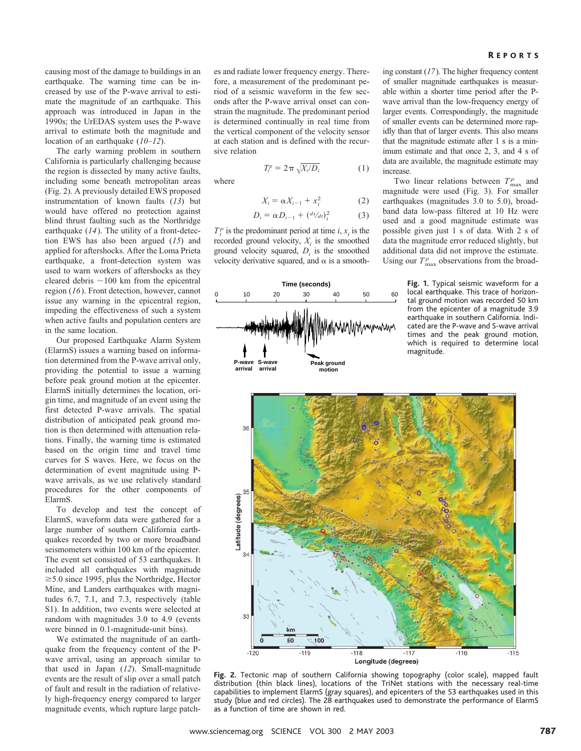causing most of the damage to buildings in an earthquake. The warning time can be increased by use of the P-wave arrival to estimate the magnitude of an earthquake. This approach was introduced in Japan in the 1990s; the UrEDAS system uses the P-wave arrival to estimate both the magnitude and location of an earthquake (*10*–*12*).

The early warning problem in southern California is particularly challenging because the region is dissected by many active faults, including some beneath metropolitan areas (Fig. 2). A previously detailed EWS proposed instrumentation of known faults (*13*) but would have offered no protection against blind thrust faulting such as the Northridge earthquake (*14*). The utility of a front-detection EWS has also been argued (*15*) and applied for aftershocks. After the Loma Prieta earthquake, a front-detection system was used to warn workers of aftershocks as they cleared debris  $\sim$ 100 km from the epicentral region (*16*). Front detection, however, cannot issue any warning in the epicentral region, impeding the effectiveness of such a system when active faults and population centers are in the same location.

Our proposed Earthquake Alarm System (ElarmS) issues a warning based on information determined from the P-wave arrival only, providing the potential to issue a warning before peak ground motion at the epicenter. ElarmS initially determines the location, origin time, and magnitude of an event using the first detected P-wave arrivals. The spatial distribution of anticipated peak ground motion is then determined with attenuation relations. Finally, the warning time is estimated based on the origin time and travel time curves for S waves. Here, we focus on the determination of event magnitude using Pwave arrivals, as we use relatively standard procedures for the other components of ElarmS.

To develop and test the concept of ElarmS, waveform data were gathered for a large number of southern California earthquakes recorded by two or more broadband seismometers within 100 km of the epicenter. The event set consisted of 53 earthquakes. It included all earthquakes with magnitude  $\geq$  5.0 since 1995, plus the Northridge, Hector Mine, and Landers earthquakes with magnitudes 6.7, 7.1, and 7.3, respectively (table S1). In addition, two events were selected at random with magnitudes 3.0 to 4.9 (events were binned in 0.1-magnitude-unit bins).

We estimated the magnitude of an earthquake from the frequency content of the Pwave arrival, using an approach similar to that used in Japan (*12*). Small-magnitude events are the result of slip over a small patch of fault and result in the radiation of relatively high-frequency energy compared to larger magnitude events, which rupture large patches and radiate lower frequency energy. Therefore, a measurement of the predominant period of a seismic waveform in the few seconds after the P-wave arrival onset can constrain the magnitude. The predominant period is determined continually in real time from the vertical component of the velocity sensor at each station and is defined with the recursive relation

$$
T_i^p = 2\pi \sqrt{X_i/D_i} \tag{1}
$$

where

$$
X_i = \alpha X_{i-1} + x_i^2 \tag{2}
$$

$$
D_i = \alpha D_{i-1} + (dx/dt)_i^2 \tag{3}
$$

 $T_i^p$  is the predominant period at time *i*,  $x_i$  is the recorded ground velocity,  $X_i$  is the smoothed ground velocity squared, *Di* is the smoothed velocity derivative squared, and  $\alpha$  is a smooth-



ing constant (*17*). The higher frequency content of smaller magnitude earthquakes is measurable within a shorter time period after the Pwave arrival than the low-frequency energy of larger events. Correspondingly, the magnitude of smaller events can be determined more rapidly than that of larger events. This also means that the magnitude estimate after 1 s is a minimum estimate and that once 2, 3, and 4 s of data are available, the magnitude estimate may increase.

Two linear relations between  $T_{\text{max}}^p$  and magnitude were used (Fig. 3). For smaller earthquakes (magnitudes 3.0 to 5.0), broadband data low-pass filtered at 10 Hz were used and a good magnitude estimate was possible given just 1 s of data. With 2 s of data the magnitude error reduced slightly, but additional data did not improve the estimate. Using our  $T_{\text{max}}^p$  observations from the broad-

> **Fig. 1.** Typical seismic waveform for a local earthquake. This trace of horizontal ground motion was recorded 50 km from the epicenter of a magnitude 3.9 earthquake in southern California. Indicated are the P-wave and S-wave arrival times and the peak ground motion, which is required to determine local magnitude.



**Fig. 2.** Tectonic map of southern California showing topography (color scale), mapped fault distribution (thin black lines), locations of the TriNet stations with the necessary real-time capabilities to implement ElarmS (gray squares), and epicenters of the 53 earthquakes used in this study (blue and red circles). The 28 earthquakes used to demonstrate the performance of ElarmS as a function of time are shown in red.

### R EPORTS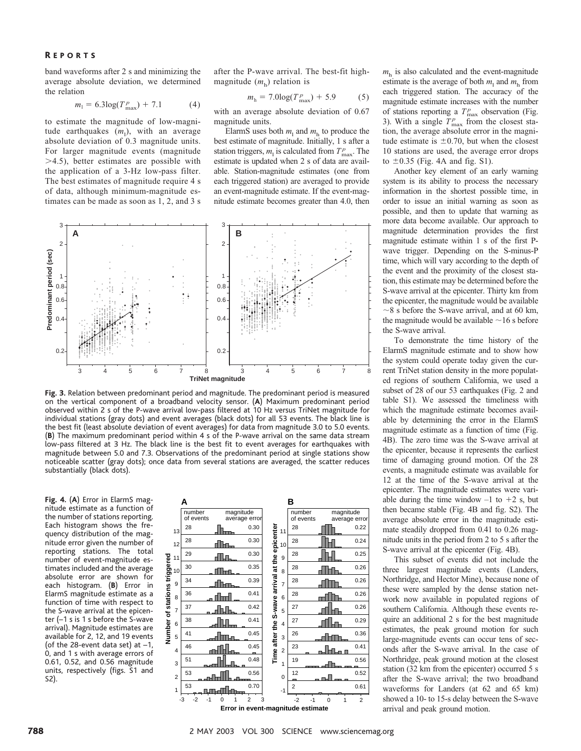band waveforms after 2 s and minimizing the average absolute deviation, we determined the relation

$$
m_1 = 6.3 \log(T_{\text{max}}^p) + 7.1 \tag{4}
$$

to estimate the magnitude of low-magnitude earthquakes  $(m_1)$ , with an average absolute deviation of 0.3 magnitude units. For larger magnitude events (magnitude 4.5), better estimates are possible with the application of a 3-Hz low-pass filter. The best estimates of magnitude require 4 s of data, although minimum-magnitude estimates can be made as soon as 1, 2, and 3 s after the P-wave arrival. The best-fit highmagnitude  $(m<sub>h</sub>)$  relation is

$$
mh = 7.0 \log(Tmaxp) + 5.9
$$
 (5)

with an average absolute deviation of 0.67 magnitude units.

ElarmS uses both  $m_1$  and  $m_h$  to produce the best estimate of magnitude. Initially, 1 s after a station triggers,  $m_1$  is calculated from  $T_{\text{max}}^p$ . The estimate is updated when 2 s of data are available. Station-magnitude estimates (one from each triggered station) are averaged to provide an event-magnitude estimate. If the event-magnitude estimate becomes greater than 4.0, then



**Fig. 3.** Relation between predominant period and magnitude. The predominant period is measured on the vertical component of a broadband velocity sensor. (**A**) Maximum predominant period observed within 2 s of the P-wave arrival low-pass filtered at 10 Hz versus TriNet magnitude for individual stations (gray dots) and event averages (black dots) for all 53 events. The black line is the best fit (least absolute deviation of event averages) for data from magnitude 3.0 to 5.0 events. (**B**) The maximum predominant period within 4 s o f the P-wave arrival on the same data stream low-pass filtered at 3 Hz. The black line is the best fit to event averages for earthquakes with magnitude between 5.0 and 7.3. Observations of the predominant period at single stations show noticeable scatter (gray dots); once data from several stations are averaged, the scatter reduces substantially (black dots).

**Fig. 4.** (**A**) Error in ElarmS magnitude estimate as a function of the number of stations reporting. Each histogram shows the frequency distribution of the magnitude error given the number of reporting stations. The total number of event-magnitude estimates included and the average absolute error are shown for each histogram. (**B**) Error in ElarmS magnitude estimate as a function of time with respect to the S-wave arrival at the epicenter (–1 s is 1 s before the S-wave arrival). Magnitude estimates are available for 2, 12, and 19 events (of the 28-event data set) at –1, 0, and 1 s with average errors of 0.61, 0.52, and 0.56 magnitude units, respectively (figs. S1 and S2).



 $m<sub>h</sub>$  is also calculated and the event-magnitude estimate is the average of both  $m_1$  and  $m_h$  from each triggered station. The accuracy of the magnitude estimate increases with the number of stations reporting a  $T_{\text{max}}^p$  observation (Fig. 3). With a single  $T_{\text{max}}^p$  from the closest station, the average absolute error in the magnitude estimate is  $\pm 0.70$ , but when the closest 10 stations are used, the average error drops to  $\pm 0.35$  (Fig. 4A and fig. S1).

Another key element of an early warning system is its ability to process the necessary information in the shortest possible time, in order to issue an initial warning as soon as possible, and then to update that warning as more data become available. Our approach to magnitude determination provides the first magnitude estimate within 1 s of the first Pwave trigger. Depending on the S-minus-P time, which will vary according to the depth of the event and the proximity of the closest station, this estimate may be determined before the S-wave arrival at the epicenter. Thirty km from the epicenter, the magnitude would be available  $\sim$ 8 s before the S-wave arrival, and at 60 km, the magnitude would be available  $\sim$  16 s before the S-wave arrival.

To demonstrate the time history of the ElarmS magnitude estimate and to show how the system could operate today given the current TriNet station density in the more populated regions of southern California, we used a subset of 28 of our 53 earthquakes (Fig. 2 and table S1). We assessed the timeliness with which the magnitude estimate becomes available by determining the error in the ElarmS magnitude estimate as a function of time (Fig. 4B). The zero time was the S-wave arrival at the epicenter, because it represents the earliest time of damaging ground motion. Of the 28 events, a magnitude estimate was available for 12 at the time of the S-wave arrival at the epicenter. The magnitude estimates were variable during the time window  $-1$  to  $+2$  s, but then became stable (Fig. 4B and fig. S2). The average absolute error in the magnitude estimate steadily dropped from 0.41 to 0.26 magnitude units in the period from 2 to 5 s after the S-wave arrival at the epicenter (Fig. 4B).

This subset of events did not include the three largest magnitude events (Landers, Northridge, and Hector Mine), because none of these were sampled by the dense station network now available in populated regions of southern California. Although these events require an additional 2 s for the best magnitude estimates, the peak ground motion for such large-magnitude events can occur tens of seconds after the S-wave arrival. In the case of Northridge, peak ground motion at the closest station (32 km from the epicenter) occurred 5 s after the S-wave arrival; the two broadband waveforms for Landers (at 62 and 65 km) showed a 10- to 15-s delay between the S-wave arrival and peak ground motion.